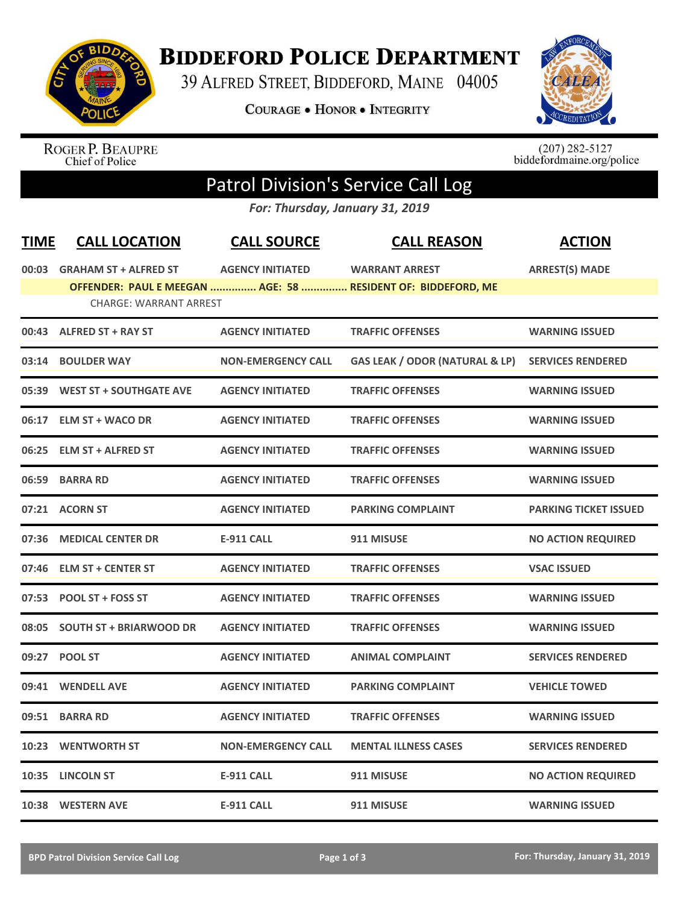

## **BIDDEFORD POLICE DEPARTMENT**

39 ALFRED STREET, BIDDEFORD, MAINE 04005

**COURAGE . HONOR . INTEGRITY** 



ROGER P. BEAUPRE<br>Chief of Police

 $(207)$  282-5127<br>biddefordmaine.org/police

## Patrol Division's Service Call Log

*For: Thursday, January 31, 2019*

| <b>TIME</b> | <b>CALL LOCATION</b>          | <b>CALL SOURCE</b>        | <b>CALL REASON</b>                                           | <b>ACTION</b>                |
|-------------|-------------------------------|---------------------------|--------------------------------------------------------------|------------------------------|
|             | 00:03 GRAHAM ST + ALFRED ST   | <b>AGENCY INITIATED</b>   | <b>WARRANT ARREST</b>                                        | <b>ARREST(S) MADE</b>        |
|             |                               |                           | OFFENDER: PAUL E MEEGAN  AGE: 58  RESIDENT OF: BIDDEFORD, ME |                              |
|             | <b>CHARGE: WARRANT ARREST</b> |                           |                                                              |                              |
|             | 00:43 ALFRED ST + RAY ST      | <b>AGENCY INITIATED</b>   | <b>TRAFFIC OFFENSES</b>                                      | <b>WARNING ISSUED</b>        |
|             | 03:14 BOULDER WAY             | <b>NON-EMERGENCY CALL</b> | <b>GAS LEAK / ODOR (NATURAL &amp; LP)</b>                    | <b>SERVICES RENDERED</b>     |
|             | 05:39 WEST ST + SOUTHGATE AVE | <b>AGENCY INITIATED</b>   | <b>TRAFFIC OFFENSES</b>                                      | <b>WARNING ISSUED</b>        |
|             | 06:17 ELM ST + WACO DR        | <b>AGENCY INITIATED</b>   | <b>TRAFFIC OFFENSES</b>                                      | <b>WARNING ISSUED</b>        |
| 06:25       | <b>ELM ST + ALFRED ST</b>     | <b>AGENCY INITIATED</b>   | <b>TRAFFIC OFFENSES</b>                                      | <b>WARNING ISSUED</b>        |
| 06:59       | <b>BARRA RD</b>               | <b>AGENCY INITIATED</b>   | <b>TRAFFIC OFFENSES</b>                                      | <b>WARNING ISSUED</b>        |
|             | 07:21 ACORN ST                | <b>AGENCY INITIATED</b>   | <b>PARKING COMPLAINT</b>                                     | <b>PARKING TICKET ISSUED</b> |
| 07:36       | <b>MEDICAL CENTER DR</b>      | <b>E-911 CALL</b>         | 911 MISUSE                                                   | <b>NO ACTION REQUIRED</b>    |
|             | 07:46 ELM ST + CENTER ST      | <b>AGENCY INITIATED</b>   | <b>TRAFFIC OFFENSES</b>                                      | <b>VSAC ISSUED</b>           |
|             | 07:53 POOL ST + FOSS ST       | <b>AGENCY INITIATED</b>   | <b>TRAFFIC OFFENSES</b>                                      | <b>WARNING ISSUED</b>        |
|             | 08:05 SOUTH ST + BRIARWOOD DR | <b>AGENCY INITIATED</b>   | <b>TRAFFIC OFFENSES</b>                                      | <b>WARNING ISSUED</b>        |
|             | 09:27 POOL ST                 | <b>AGENCY INITIATED</b>   | <b>ANIMAL COMPLAINT</b>                                      | <b>SERVICES RENDERED</b>     |
| 09:41       | <b>WENDELL AVE</b>            | <b>AGENCY INITIATED</b>   | <b>PARKING COMPLAINT</b>                                     | <b>VEHICLE TOWED</b>         |
| 09:51       | <b>BARRA RD</b>               | <b>AGENCY INITIATED</b>   | <b>TRAFFIC OFFENSES</b>                                      | <b>WARNING ISSUED</b>        |
| 10:23       | <b>WENTWORTH ST</b>           | <b>NON-EMERGENCY CALL</b> | <b>MENTAL ILLNESS CASES</b>                                  | <b>SERVICES RENDERED</b>     |
|             | 10:35 LINCOLN ST              | <b>E-911 CALL</b>         | 911 MISUSE                                                   | <b>NO ACTION REQUIRED</b>    |
|             | 10:38 WESTERN AVE             | <b>E-911 CALL</b>         | 911 MISUSE                                                   | <b>WARNING ISSUED</b>        |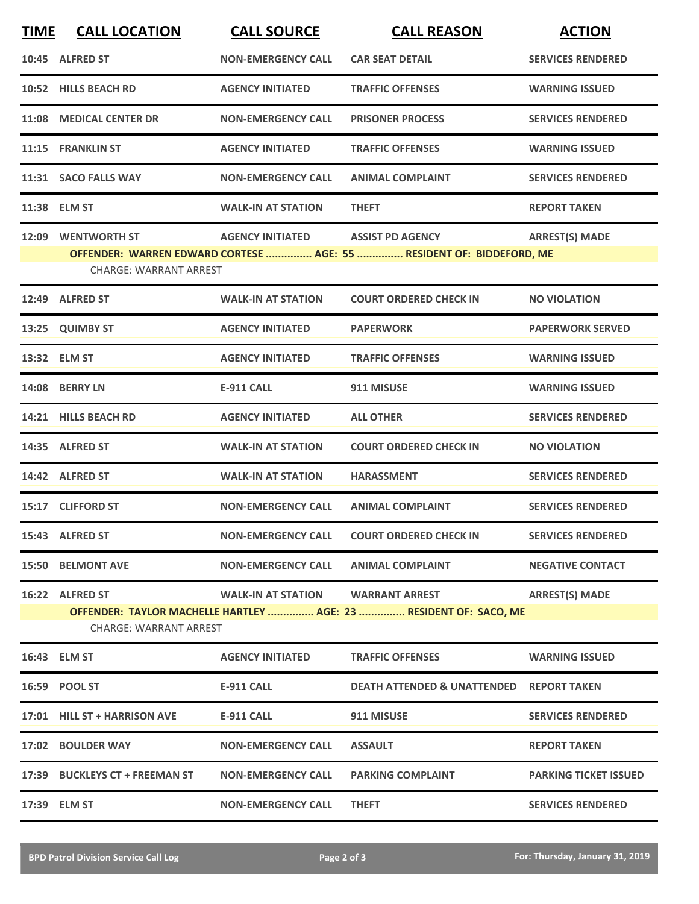| <b>TIME</b> | <b>CALL LOCATION</b>                                                                                                                                                                                       | <b>CALL SOURCE</b>        | <b>CALL REASON</b>                                  | <b>ACTION</b>                |  |  |
|-------------|------------------------------------------------------------------------------------------------------------------------------------------------------------------------------------------------------------|---------------------------|-----------------------------------------------------|------------------------------|--|--|
|             | 10:45 ALFRED ST                                                                                                                                                                                            | <b>NON-EMERGENCY CALL</b> | <b>CAR SEAT DETAIL</b>                              | <b>SERVICES RENDERED</b>     |  |  |
|             | 10:52 HILLS BEACH RD                                                                                                                                                                                       | <b>AGENCY INITIATED</b>   | <b>TRAFFIC OFFENSES</b>                             | <b>WARNING ISSUED</b>        |  |  |
|             | 11:08 MEDICAL CENTER DR                                                                                                                                                                                    | <b>NON-EMERGENCY CALL</b> | <b>PRISONER PROCESS</b>                             | <b>SERVICES RENDERED</b>     |  |  |
|             | 11:15 FRANKLIN ST                                                                                                                                                                                          | <b>AGENCY INITIATED</b>   | <b>TRAFFIC OFFENSES</b>                             | <b>WARNING ISSUED</b>        |  |  |
|             | 11:31 SACO FALLS WAY                                                                                                                                                                                       | <b>NON-EMERGENCY CALL</b> | <b>ANIMAL COMPLAINT</b>                             | <b>SERVICES RENDERED</b>     |  |  |
|             | 11:38 ELM ST                                                                                                                                                                                               | <b>WALK-IN AT STATION</b> | <b>THEFT</b>                                        | <b>REPORT TAKEN</b>          |  |  |
|             | 12:09 WENTWORTH ST<br><b>AGENCY INITIATED</b><br><b>ASSIST PD AGENCY</b><br><b>ARREST(S) MADE</b><br>OFFENDER: WARREN EDWARD CORTESE  AGE: 55  RESIDENT OF: BIDDEFORD, ME<br><b>CHARGE: WARRANT ARREST</b> |                           |                                                     |                              |  |  |
|             | 12:49 ALFRED ST                                                                                                                                                                                            | <b>WALK-IN AT STATION</b> | <b>COURT ORDERED CHECK IN</b>                       | <b>NO VIOLATION</b>          |  |  |
|             | 13:25 QUIMBY ST                                                                                                                                                                                            | <b>AGENCY INITIATED</b>   | <b>PAPERWORK</b>                                    | <b>PAPERWORK SERVED</b>      |  |  |
|             | 13:32 ELM ST                                                                                                                                                                                               | <b>AGENCY INITIATED</b>   | <b>TRAFFIC OFFENSES</b>                             | <b>WARNING ISSUED</b>        |  |  |
|             | 14:08 BERRY LN                                                                                                                                                                                             | <b>E-911 CALL</b>         | 911 MISUSE                                          | <b>WARNING ISSUED</b>        |  |  |
|             | 14:21 HILLS BEACH RD                                                                                                                                                                                       | <b>AGENCY INITIATED</b>   | <b>ALL OTHER</b>                                    | <b>SERVICES RENDERED</b>     |  |  |
|             | 14:35 ALFRED ST                                                                                                                                                                                            | <b>WALK-IN AT STATION</b> | <b>COURT ORDERED CHECK IN</b>                       | <b>NO VIOLATION</b>          |  |  |
|             | 14:42 ALFRED ST                                                                                                                                                                                            | <b>WALK-IN AT STATION</b> | <b>HARASSMENT</b>                                   | <b>SERVICES RENDERED</b>     |  |  |
|             | 15:17 CLIFFORD ST                                                                                                                                                                                          | <b>NON-EMERGENCY CALL</b> | <b>ANIMAL COMPLAINT</b>                             | <b>SERVICES RENDERED</b>     |  |  |
|             | 15:43 ALFRED ST                                                                                                                                                                                            | <b>NON-EMERGENCY CALL</b> | <b>COURT ORDERED CHECK IN</b>                       | <b>SERVICES RENDERED</b>     |  |  |
|             | <b>15:50 BELMONT AVE</b>                                                                                                                                                                                   | <b>NON-EMERGENCY CALL</b> | <b>ANIMAL COMPLAINT</b>                             | <b>NEGATIVE CONTACT</b>      |  |  |
|             | 16:22 ALFRED ST<br><b>WALK-IN AT STATION</b><br><b>WARRANT ARREST</b><br><b>ARREST(S) MADE</b><br>OFFENDER: TAYLOR MACHELLE HARTLEY  AGE: 23  RESIDENT OF: SACO, ME<br><b>CHARGE: WARRANT ARREST</b>       |                           |                                                     |                              |  |  |
|             | 16:43 ELM ST                                                                                                                                                                                               | <b>AGENCY INITIATED</b>   | <b>TRAFFIC OFFENSES</b>                             | <b>WARNING ISSUED</b>        |  |  |
|             | 16:59 POOL ST                                                                                                                                                                                              | E-911 CALL                | <b>DEATH ATTENDED &amp; UNATTENDED REPORT TAKEN</b> |                              |  |  |
|             | 17:01 HILL ST + HARRISON AVE                                                                                                                                                                               | <b>E-911 CALL</b>         | 911 MISUSE                                          | <b>SERVICES RENDERED</b>     |  |  |
|             | 17:02 BOULDER WAY                                                                                                                                                                                          | <b>NON-EMERGENCY CALL</b> | <b>ASSAULT</b>                                      | <b>REPORT TAKEN</b>          |  |  |
|             | 17:39 BUCKLEYS CT + FREEMAN ST                                                                                                                                                                             | <b>NON-EMERGENCY CALL</b> | <b>PARKING COMPLAINT</b>                            | <b>PARKING TICKET ISSUED</b> |  |  |
|             | 17:39 ELM ST                                                                                                                                                                                               | <b>NON-EMERGENCY CALL</b> | <b>THEFT</b>                                        | <b>SERVICES RENDERED</b>     |  |  |